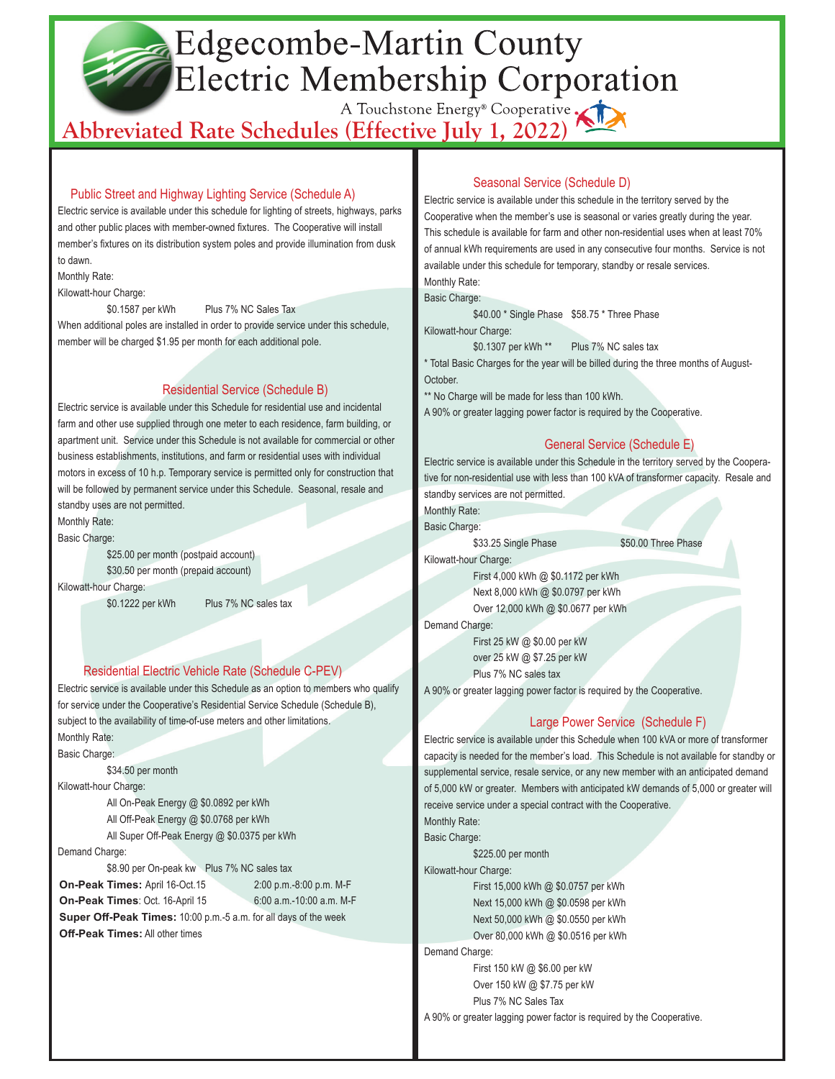# Edgecombe-Martin County Electric Membership Corporation

# A Touchstone Energy<sup>®</sup> Cooperative

# Public Street and Highway Lighting Service (Schedule A)

Electric service is available under this schedule for lighting of streets, highways, parks and other public places with member-owned fixtures. The Cooperative will install member's fixtures on its distribution system poles and provide illumination from dusk to dawn.

Monthly Rate:

Kilowatt-hour Charge:

\$0.1587 per kWh Plus 7% NC Sales Tax

When additional poles are installed in order to provide service under this schedule. member will be charged \$1.95 per month for each additional pole.

# Residential Service (Schedule B)

Electric service is available under this Schedule for residential use and incidental farm and other use supplied through one meter to each residence, farm building, or apartment unit. Service under this Schedule is not available for commercial or other business establishments, institutions, and farm or residential uses with individual motors in excess of 10 h.p. Temporary service is permitted only for construction that will be followed by permanent service under this Schedule. Seasonal, resale and standby uses are not permitted.

Monthly Rate:

Basic Charge:

\$25.00 per month (postpaid account) \$30.50 per month (prepaid account) Kilowatt-hour Charge:

\$0.1222 per kWh Plus 7% NC sales tax

#### Residential Electric Vehicle Rate (Schedule C-PEV)

Electric service is available under this Schedule as an option to members who qualify for service under the Cooperative's Residential Service Schedule (Schedule B), subject to the availability of time-of-use meters and other limitations. Monthly Rate:

Basic Charge:

\$34.50 per month

Kilowatt-hour Charge:

All On-Peak Energy @ \$0.0892 per kWh All Off-Peak Energy @ \$0.0768 per kWh All Super Off-Peak Energy @ \$0.0375 per kWh

Demand Charge:

\$8.90 per On-peak kw Plus 7% NC sales tax **On-Peak Times:** April 16-Oct.15 2:00 p.m.-8:00 p.m. M-F **On-Peak Times**: Oct. 16-April 15 6:00 a.m.-10:00 a.m. M-F  **Super Off-Peak Times:** 10:00 p.m.-5 a.m. for all days of the week  **Off-Peak Times:** All other times

# Seasonal Service (Schedule D)

Electric service is available under this schedule in the territory served by the Cooperative when the member's use is seasonal or varies greatly during the year. This schedule is available for farm and other non-residential uses when at least 70% of annual kWh requirements are used in any consecutive four months. Service is not available under this schedule for temporary, standby or resale services. Monthly Rate:

Basic Charge:

\$40.00 \* Single Phase \$58.75 \* Three Phase

Kilowatt-hour Charge:

\$0.1307 per kWh \*\* Plus 7% NC sales tax

\* Total Basic Charges for the year will be billed during the three months of August-**October** 

\*\* No Charge will be made for less than 100 kWh.

A 90% or greater lagging power factor is required by the Cooperative.

# General Service (Schedule E)

Electric service is available under this Schedule in the territory served by the Cooperative for non-residential use with less than 100 kVA of transformer capacity. Resale and standby services are not permitted.

Monthly Rate:

Basic Charge:

\$33.25 Single Phase \$50.00 Three Phase

Kilowatt-hour Charge:

First 4,000 kWh @ \$0.1172 per kWh Next 8,000 kWh @ \$0.0797 per kWh Over 12,000 kWh @ \$0.0677 per kWh

Demand Charge:

First 25 kW @ \$0.00 per kW over 25 kW @ \$7.25 per kW Plus 7% NC sales tax

A 90% or greater lagging power factor is required by the Cooperative.

# Large Power Service (Schedule F)

Electric service is available under this Schedule when 100 kVA or more of transformer capacity is needed for the member's load. This Schedule is not available for standby or supplemental service, resale service, or any new member with an anticipated demand of 5,000 kW or greater. Members with anticipated kW demands of 5,000 or greater will receive service under a special contract with the Cooperative. Monthly Rate:

Basic Charge:

\$225.00 per month

Kilowatt-hour Charge:

First 15,000 kWh @ \$0.0757 per kWh Next 15,000 kWh @ \$0.0598 per kWh Next 50,000 kWh @ \$0.0550 per kWh Over 80,000 kWh @ \$0.0516 per kWh

Demand Charge:

First 150 kW @ \$6.00 per kW Over 150 kW @ \$7.75 per kW Plus 7% NC Sales Tax

A 90% or greater lagging power factor is required by the Cooperative.